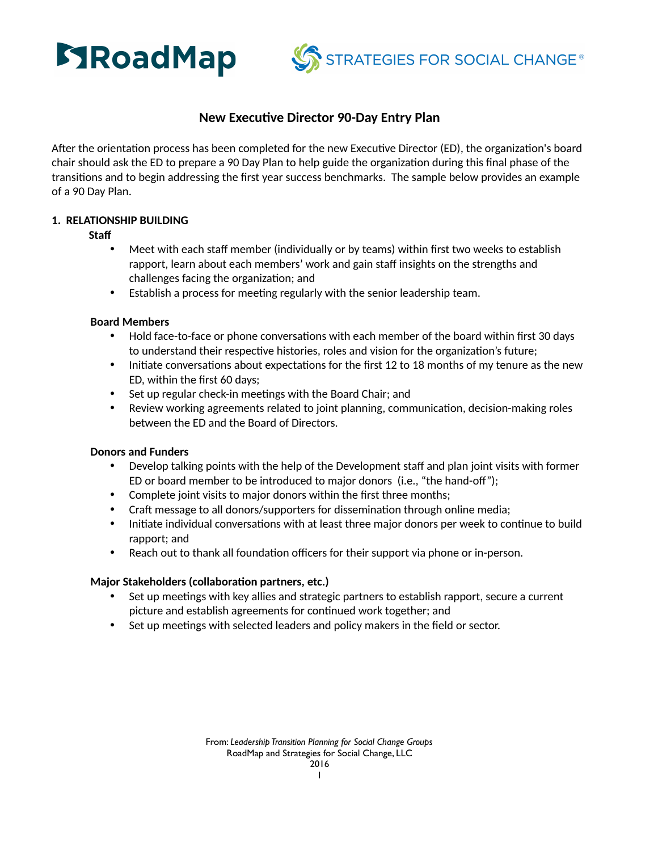



# **New Executive Director 90-Day Entry Plan**

After the orientation process has been completed for the new Executive Director (ED), the organization's board chair should ask the ED to prepare a 90 Day Plan to help guide the organization during this final phase of the transitions and to begin addressing the first year success benchmarks. The sample below provides an example of a 90 Day Plan.

# **1. RELATIONSHIP BUILDING**

**Staff**

- Meet with each staff member (individually or by teams) within first two weeks to establish rapport, learn about each members' work and gain staff insights on the strengths and challenges facing the organization; and
- Establish a process for meeting regularly with the senior leadership team.

## **Board Members**

- Hold face-to-face or phone conversations with each member of the board within first 30 days to understand their respective histories, roles and vision for the organization's future;
- Initiate conversations about expectations for the first 12 to 18 months of my tenure as the new ED, within the first 60 days;
- $\bullet$  Set up regular check-in meetings with the Board Chair; and
- Review working agreements related to joint planning, communication, decision-making roles between the ED and the Board of Directors.

## **Donors and Funders**

- Develop talking points with the help of the Development staff and plan joint visits with former ED or board member to be introduced to major donors (i.e., "the hand-off");
- Complete joint visits to major donors within the first three months;
- Craft message to all donors/supporters for dissemination through online media;
- Initiate individual conversations with at least three major donors per week to continue to build rapport; and
- Reach out to thank all foundation officers for their support via phone or in-person.

# **Major Stakeholders (collaboration partners, etc.)**

- Set up meetings with key allies and strategic partners to establish rapport, secure a current picture and establish agreements for continued work together; and
- Set up meetings with selected leaders and policy makers in the field or sector.